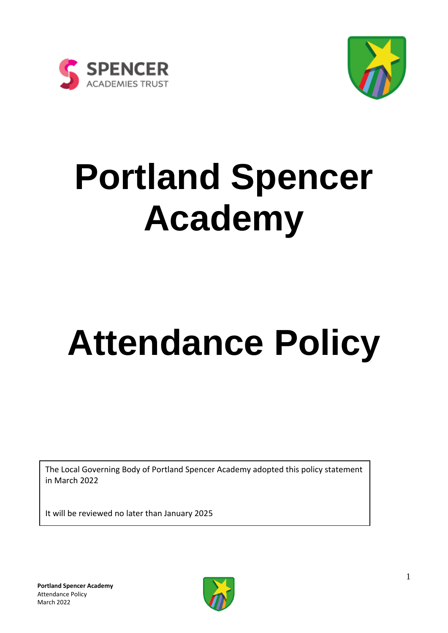



# **Portland Spencer Academy**

# **Attendance Policy**

The Local Governing Body of Portland Spencer Academy adopted this policy statement in March 2022

It will be reviewed no later than January 2025

**Portland Spencer Academy**  Attendance Policy March 2022

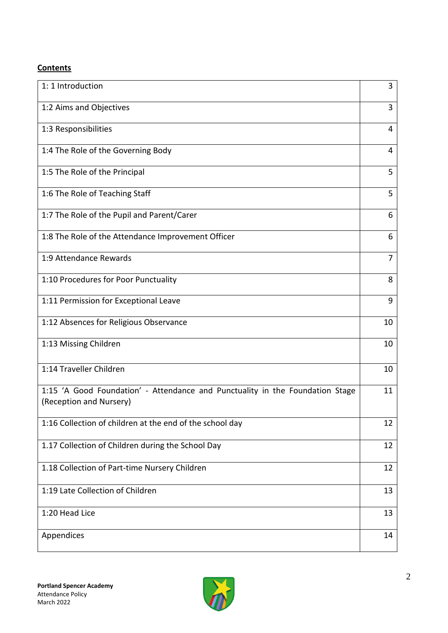#### **Contents**

| 1: 1 Introduction                                                                                        | 3              |
|----------------------------------------------------------------------------------------------------------|----------------|
| 1:2 Aims and Objectives                                                                                  | 3              |
| 1:3 Responsibilities                                                                                     | 4              |
| 1:4 The Role of the Governing Body                                                                       | 4              |
| 1:5 The Role of the Principal                                                                            | 5              |
| 1:6 The Role of Teaching Staff                                                                           | 5              |
| 1:7 The Role of the Pupil and Parent/Carer                                                               | 6              |
| 1:8 The Role of the Attendance Improvement Officer                                                       | 6              |
| 1:9 Attendance Rewards                                                                                   | $\overline{7}$ |
| 1:10 Procedures for Poor Punctuality                                                                     | 8              |
| 1:11 Permission for Exceptional Leave                                                                    | 9              |
| 1:12 Absences for Religious Observance                                                                   | 10             |
| 1:13 Missing Children                                                                                    | 10             |
| 1:14 Traveller Children                                                                                  | 10             |
| 1:15 'A Good Foundation' - Attendance and Punctuality in the Foundation Stage<br>(Reception and Nursery) | 11             |
| 1:16 Collection of children at the end of the school day                                                 | 12             |
| 1.17 Collection of Children during the School Day                                                        | 12             |
| 1.18 Collection of Part-time Nursery Children                                                            | 12             |
| 1:19 Late Collection of Children                                                                         | 13             |
| 1:20 Head Lice                                                                                           | 13             |
| Appendices                                                                                               | 14             |

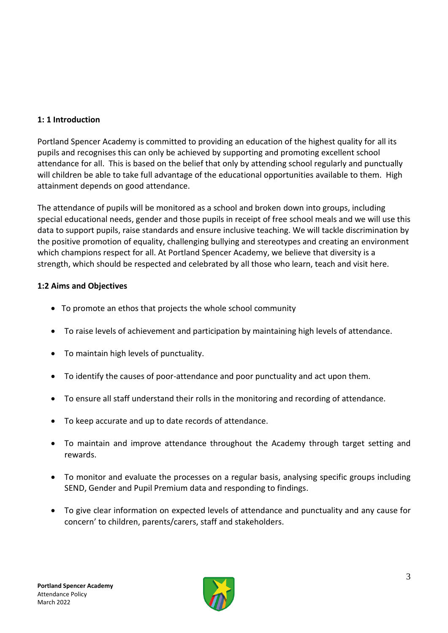# **1: 1 Introduction**

Portland Spencer Academy is committed to providing an education of the highest quality for all its pupils and recognises this can only be achieved by supporting and promoting excellent school attendance for all. This is based on the belief that only by attending school regularly and punctually will children be able to take full advantage of the educational opportunities available to them. High attainment depends on good attendance.

The attendance of pupils will be monitored as a school and broken down into groups, including special educational needs, gender and those pupils in receipt of free school meals and we will use this data to support pupils, raise standards and ensure inclusive teaching. We will tackle discrimination by the positive promotion of equality, challenging bullying and stereotypes and creating an environment which champions respect for all. At Portland Spencer Academy, we believe that diversity is a strength, which should be respected and celebrated by all those who learn, teach and visit here.

# **1:2 Aims and Objectives**

- To promote an ethos that projects the whole school community
- To raise levels of achievement and participation by maintaining high levels of attendance.
- To maintain high levels of punctuality.
- To identify the causes of poor-attendance and poor punctuality and act upon them.
- To ensure all staff understand their rolls in the monitoring and recording of attendance.
- To keep accurate and up to date records of attendance.
- To maintain and improve attendance throughout the Academy through target setting and rewards.
- To monitor and evaluate the processes on a regular basis, analysing specific groups including SEND, Gender and Pupil Premium data and responding to findings.
- To give clear information on expected levels of attendance and punctuality and any cause for concern' to children, parents/carers, staff and stakeholders.

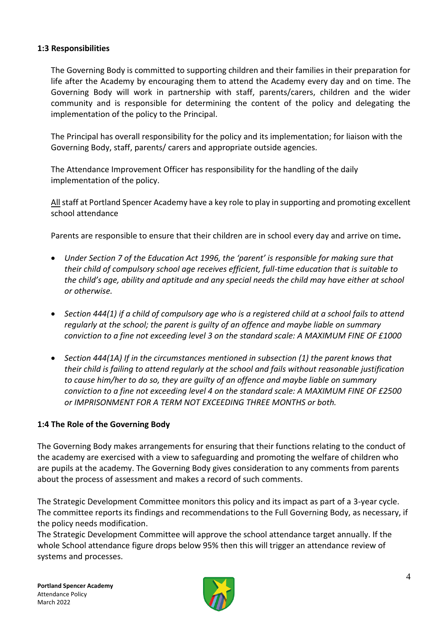#### **1:3 Responsibilities**

The Governing Body is committed to supporting children and their families in their preparation for life after the Academy by encouraging them to attend the Academy every day and on time. The Governing Body will work in partnership with staff, parents/carers, children and the wider community and is responsible for determining the content of the policy and delegating the implementation of the policy to the Principal.

The Principal has overall responsibility for the policy and its implementation; for liaison with the Governing Body, staff, parents/ carers and appropriate outside agencies.

The Attendance Improvement Officer has responsibility for the handling of the daily implementation of the policy.

Allstaff at Portland Spencer Academy have a key role to play in supporting and promoting excellent school attendance

Parents are responsible to ensure that their children are in school every day and arrive on time**.**

- *Under Section 7 of the Education Act 1996, the 'parent' is responsible for making sure that their child of compulsory school age receives efficient, full-time education that is suitable to the child's age, ability and aptitude and any special needs the child may have either at school or otherwise.*
- *Section 444(1) if a child of compulsory age who is a registered child at a school fails to attend regularly at the school; the parent is guilty of an offence and maybe liable on summary conviction to a fine not exceeding level 3 on the standard scale: A MAXIMUM FINE OF £1000*
- *Section 444(1A) If in the circumstances mentioned in subsection (1) the parent knows that their child is failing to attend regularly at the school and fails without reasonable justification to cause him/her to do so, they are guilty of an offence and maybe liable on summary conviction to a fine not exceeding level 4 on the standard scale: A MAXIMUM FINE OF £2500 or IMPRISONMENT FOR A TERM NOT EXCEEDING THREE MONTHS or both.*

#### **1:4 The Role of the Governing Body**

The Governing Body makes arrangements for ensuring that their functions relating to the conduct of the academy are exercised with a view to safeguarding and promoting the welfare of children who are pupils at the academy. The Governing Body gives consideration to any comments from parents about the process of assessment and makes a record of such comments.

The Strategic Development Committee monitors this policy and its impact as part of a 3-year cycle. The committee reports its findings and recommendations to the Full Governing Body, as necessary, if the policy needs modification.

The Strategic Development Committee will approve the school attendance target annually. If the whole School attendance figure drops below 95% then this will trigger an attendance review of systems and processes.

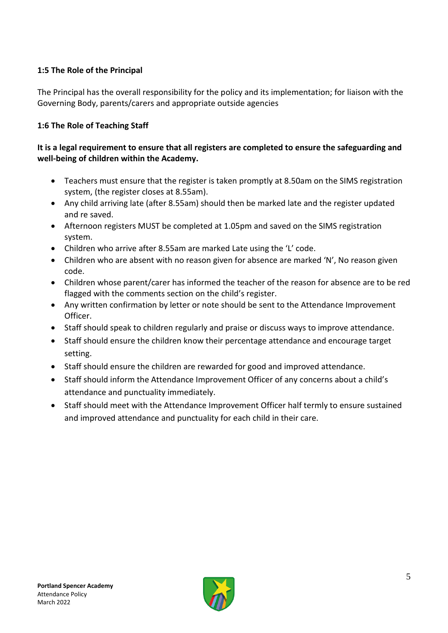# **1:5 The Role of the Principal**

The Principal has the overall responsibility for the policy and its implementation; for liaison with the Governing Body, parents/carers and appropriate outside agencies

# **1:6 The Role of Teaching Staff**

#### **It is a legal requirement to ensure that all registers are completed to ensure the safeguarding and well-being of children within the Academy.**

- Teachers must ensure that the register is taken promptly at 8.50am on the SIMS registration system, (the register closes at 8.55am).
- Any child arriving late (after 8.55am) should then be marked late and the register updated and re saved.
- Afternoon registers MUST be completed at 1.05pm and saved on the SIMS registration system.
- Children who arrive after 8.55am are marked Late using the 'L' code.
- Children who are absent with no reason given for absence are marked 'N', No reason given code.
- Children whose parent/carer has informed the teacher of the reason for absence are to be red flagged with the comments section on the child's register.
- Any written confirmation by letter or note should be sent to the Attendance Improvement Officer.
- Staff should speak to children regularly and praise or discuss ways to improve attendance.
- Staff should ensure the children know their percentage attendance and encourage target setting.
- Staff should ensure the children are rewarded for good and improved attendance.
- Staff should inform the Attendance Improvement Officer of any concerns about a child's attendance and punctuality immediately.
- Staff should meet with the Attendance Improvement Officer half termly to ensure sustained and improved attendance and punctuality for each child in their care.

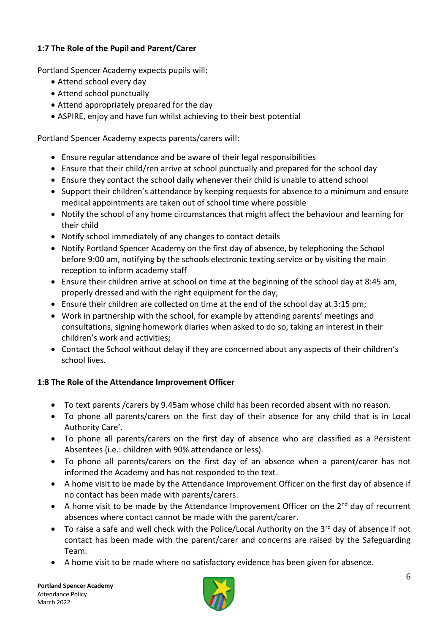# **1:7 The Role of the Pupil and Parent/Carer**

Portland Spencer Academy expects pupils will:

- Attend school every day
- Attend school punctually
- Attend appropriately prepared for the day
- ASPIRE, enjoy and have fun whilst achieving to their best potential

Portland Spencer Academy expects parents/carers will:

- Ensure regular attendance and be aware of their legal responsibilities
- Ensure that their child/ren arrive at school punctually and prepared for the school day
- Ensure they contact the school daily whenever their child is unable to attend school
- Support their children's attendance by keeping requests for absence to a minimum and ensure medical appointments are taken out of school time where possible
- Notify the school of any home circumstances that might affect the behaviour and learning for their child
- Notify school immediately of any changes to contact details
- Notify Portland Spencer Academy on the first day of absence, by telephoning the School before 9:00 am, notifying by the schools electronic texting service or by visiting the main reception to inform academy staff
- Ensure their children arrive at school on time at the beginning of the school day at 8:45 am, properly dressed and with the right equipment for the day;
- Ensure their children are collected on time at the end of the school day at 3:15 pm;
- Work in partnership with the school, for example by attending parents' meetings and consultations, signing homework diaries when asked to do so, taking an interest in their children's work and activities;
- Contact the School without delay if they are concerned about any aspects of their children's school lives.

#### **1:8 The Role of the Attendance Improvement Officer**

- To text parents /carers by 9.45am whose child has been recorded absent with no reason.
- To phone all parents/carers on the first day of their absence for any child that is in Local Authority Care'.
- To phone all parents/carers on the first day of absence who are classified as a Persistent Absentees (i.e.: children with 90% attendance or less).
- To phone all parents/carers on the first day of an absence when a parent/carer has not informed the Academy and has not responded to the text.
- A home visit to be made by the Attendance Improvement Officer on the first day of absence if no contact has been made with parents/carers.
- A home visit to be made by the Attendance Improvement Officer on the  $2^{nd}$  day of recurrent absences where contact cannot be made with the parent/carer.
- To raise a safe and well check with the Police/Local Authority on the  $3^{rd}$  day of absence if not contact has been made with the parent/carer and concerns are raised by the Safeguarding Team.
- A home visit to be made where no satisfactory evidence has been given for absence.

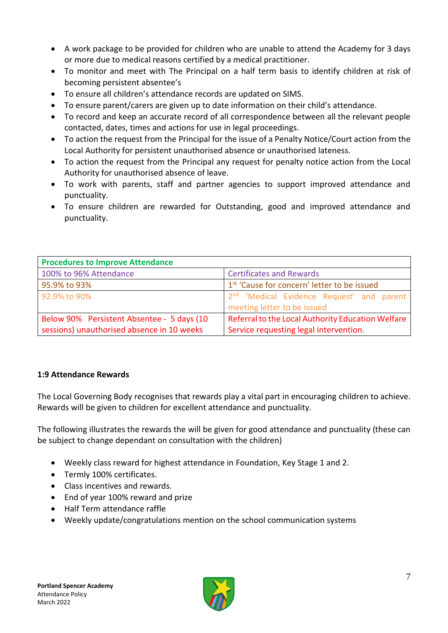- A work package to be provided for children who are unable to attend the Academy for 3 days or more due to medical reasons certified by a medical practitioner.
- To monitor and meet with The Principal on a half term basis to identify children at risk of becoming persistent absentee's
- To ensure all children's attendance records are updated on SIMS.
- To ensure parent/carers are given up to date information on their child's attendance.
- To record and keep an accurate record of all correspondence between all the relevant people contacted, dates, times and actions for use in legal proceedings.
- To action the request from the Principal for the issue of a Penalty Notice/Court action from the Local Authority for persistent unauthorised absence or unauthorised lateness.
- To action the request from the Principal any request for penalty notice action from the Local Authority for unauthorised absence of leave.
- To work with parents, staff and partner agencies to support improved attendance and punctuality.
- To ensure children are rewarded for Outstanding, good and improved attendance and punctuality.

| <b>Procedures to Improve Attendance</b>    |                                                         |  |  |
|--------------------------------------------|---------------------------------------------------------|--|--|
| 100% to 96% Attendance                     | <b>Certificates and Rewards</b>                         |  |  |
| 95.9% to 93%                               | 1 <sup>st</sup> 'Cause for concern' letter to be issued |  |  |
| 92.9% to 90%                               | 2 <sup>nd</sup> 'Medical Evidence Request' and parent   |  |  |
|                                            | meeting letter to be issued                             |  |  |
| Below 90% Persistent Absentee - 5 days (10 | Referral to the Local Authority Education Welfare       |  |  |
| sessions) unauthorised absence in 10 weeks | Service requesting legal intervention.                  |  |  |

#### **1:9 Attendance Rewards**

The Local Governing Body recognises that rewards play a vital part in encouraging children to achieve. Rewards will be given to children for excellent attendance and punctuality.

The following illustrates the rewards the will be given for good attendance and punctuality (these can be subject to change dependant on consultation with the children)

- Weekly class reward for highest attendance in Foundation, Key Stage 1 and 2.
- Termly 100% certificates.
- Class incentives and rewards.
- End of year 100% reward and prize
- Half Term attendance raffle
- Weekly update/congratulations mention on the school communication systems

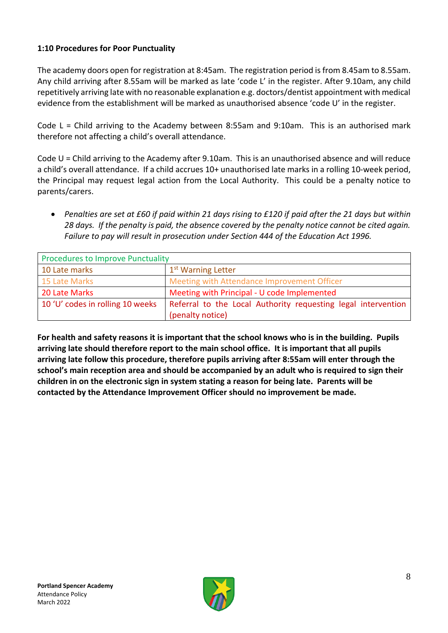# **1:10 Procedures for Poor Punctuality**

The academy doors open for registration at 8:45am. The registration period is from 8.45am to 8.55am. Any child arriving after 8.55am will be marked as late 'code L' in the register. After 9.10am, any child repetitively arriving late with no reasonable explanation e.g. doctors/dentist appointment with medical evidence from the establishment will be marked as unauthorised absence 'code U' in the register.

Code  $L =$  Child arriving to the Academy between 8:55am and 9:10am. This is an authorised mark therefore not affecting a child's overall attendance.

Code U = Child arriving to the Academy after 9.10am. This is an unauthorised absence and will reduce a child's overall attendance. If a child accrues 10+ unauthorised late marks in a rolling 10-week period, the Principal may request legal action from the Local Authority. This could be a penalty notice to parents/carers.

• *Penalties are set at £60 if paid within 21 days rising to £120 if paid after the 21 days but within 28 days. If the penalty is paid, the absence covered by the penalty notice cannot be cited again. Failure to pay will result in prosecution under Section 444 of the Education Act 1996.*

| <b>Procedures to Improve Punctuality</b> |                                                               |
|------------------------------------------|---------------------------------------------------------------|
| 10 Late marks                            | 1 <sup>st</sup> Warning Letter                                |
| 15 Late Marks                            | Meeting with Attendance Improvement Officer                   |
| 20 Late Marks                            | Meeting with Principal - U code Implemented                   |
| 10 'U' codes in rolling 10 weeks         | Referral to the Local Authority requesting legal intervention |
|                                          | (penalty notice)                                              |

**For health and safety reasons it is important that the school knows who is in the building. Pupils arriving late should therefore report to the main school office. It is important that all pupils arriving late follow this procedure, therefore pupils arriving after 8:55am will enter through the school's main reception area and should be accompanied by an adult who is required to sign their children in on the electronic sign in system stating a reason for being late. Parents will be contacted by the Attendance Improvement Officer should no improvement be made.**

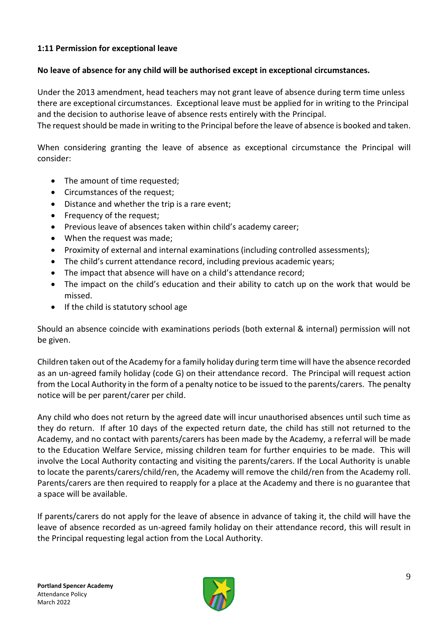#### **1:11 Permission for exceptional leave**

#### **No leave of absence for any child will be authorised except in exceptional circumstances.**

Under the 2013 amendment, head teachers may not grant leave of absence during term time unless there are exceptional circumstances. Exceptional leave must be applied for in writing to the Principal and the decision to authorise leave of absence rests entirely with the Principal.

The request should be made in writing to the Principal before the leave of absence is booked and taken.

When considering granting the leave of absence as exceptional circumstance the Principal will consider:

- The amount of time requested;
- Circumstances of the request;
- Distance and whether the trip is a rare event;
- Frequency of the request;
- Previous leave of absences taken within child's academy career;
- When the request was made;
- Proximity of external and internal examinations (including controlled assessments);
- The child's current attendance record, including previous academic years;
- The impact that absence will have on a child's attendance record;
- The impact on the child's education and their ability to catch up on the work that would be missed.
- If the child is statutory school age

Should an absence coincide with examinations periods (both external & internal) permission will not be given.

Children taken out of the Academy for a family holiday during term time will have the absence recorded as an un-agreed family holiday (code G) on their attendance record. The Principal will request action from the Local Authority in the form of a penalty notice to be issued to the parents/carers. The penalty notice will be per parent/carer per child.

Any child who does not return by the agreed date will incur unauthorised absences until such time as they do return. If after 10 days of the expected return date, the child has still not returned to the Academy, and no contact with parents/carers has been made by the Academy, a referral will be made to the Education Welfare Service, missing children team for further enquiries to be made. This will involve the Local Authority contacting and visiting the parents/carers. If the Local Authority is unable to locate the parents/carers/child/ren, the Academy will remove the child/ren from the Academy roll. Parents/carers are then required to reapply for a place at the Academy and there is no guarantee that a space will be available.

If parents/carers do not apply for the leave of absence in advance of taking it, the child will have the leave of absence recorded as un-agreed family holiday on their attendance record, this will result in the Principal requesting legal action from the Local Authority.

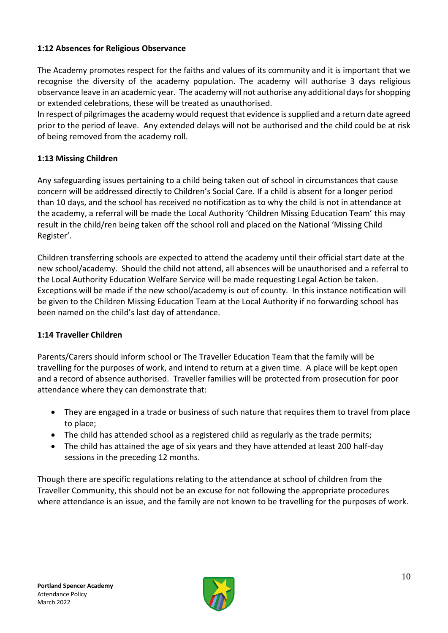#### **1:12 Absences for Religious Observance**

The Academy promotes respect for the faiths and values of its community and it is important that we recognise the diversity of the academy population. The academy will authorise 3 days religious observance leave in an academic year. The academy will not authorise any additional days for shopping or extended celebrations, these will be treated as unauthorised.

In respect of pilgrimages the academy would request that evidence is supplied and a return date agreed prior to the period of leave. Any extended delays will not be authorised and the child could be at risk of being removed from the academy roll.

#### **1:13 Missing Children**

Any safeguarding issues pertaining to a child being taken out of school in circumstances that cause concern will be addressed directly to Children's Social Care. If a child is absent for a longer period than 10 days, and the school has received no notification as to why the child is not in attendance at the academy, a referral will be made the Local Authority 'Children Missing Education Team' this may result in the child/ren being taken off the school roll and placed on the National 'Missing Child Register'.

Children transferring schools are expected to attend the academy until their official start date at the new school/academy. Should the child not attend, all absences will be unauthorised and a referral to the Local Authority Education Welfare Service will be made requesting Legal Action be taken. Exceptions will be made if the new school/academy is out of county. In this instance notification will be given to the Children Missing Education Team at the Local Authority if no forwarding school has been named on the child's last day of attendance.

#### **1:14 Traveller Children**

Parents/Carers should inform school or The Traveller Education Team that the family will be travelling for the purposes of work, and intend to return at a given time. A place will be kept open and a record of absence authorised. Traveller families will be protected from prosecution for poor attendance where they can demonstrate that:

- They are engaged in a trade or business of such nature that requires them to travel from place to place;
- The child has attended school as a registered child as regularly as the trade permits;
- The child has attained the age of six years and they have attended at least 200 half-day sessions in the preceding 12 months.

Though there are specific regulations relating to the attendance at school of children from the Traveller Community, this should not be an excuse for not following the appropriate procedures where attendance is an issue, and the family are not known to be travelling for the purposes of work.

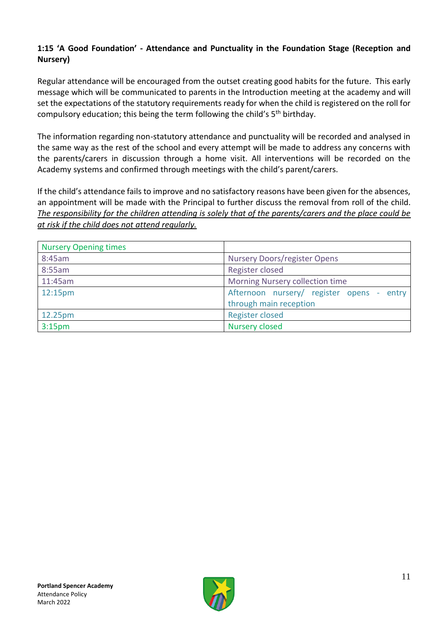#### **1:15 'A Good Foundation' - Attendance and Punctuality in the Foundation Stage (Reception and Nursery)**

Regular attendance will be encouraged from the outset creating good habits for the future. This early message which will be communicated to parents in the Introduction meeting at the academy and will set the expectations of the statutory requirements ready for when the child is registered on the roll for compulsory education; this being the term following the child's 5<sup>th</sup> birthday.

The information regarding non-statutory attendance and punctuality will be recorded and analysed in the same way as the rest of the school and every attempt will be made to address any concerns with the parents/carers in discussion through a home visit. All interventions will be recorded on the Academy systems and confirmed through meetings with the child's parent/carers.

If the child's attendance fails to improve and no satisfactory reasons have been given for the absences, an appointment will be made with the Principal to further discuss the removal from roll of the child. *The responsibility for the children attending is solely that of the parents/carers and the place could be at risk if the child does not attend regularly.*

| <b>Nursery Opening times</b> |                                              |  |
|------------------------------|----------------------------------------------|--|
| 8:45am                       | Nursery Doors/register Opens                 |  |
| 8:55am                       | Register closed                              |  |
| 11:45am                      | Morning Nursery collection time              |  |
| 12:15pm                      | Afternoon nursery/ register opens -<br>entry |  |
|                              | through main reception                       |  |
| 12.25pm                      | <b>Register closed</b>                       |  |
| 3:15 <sub>pm</sub>           | <b>Nursery closed</b>                        |  |

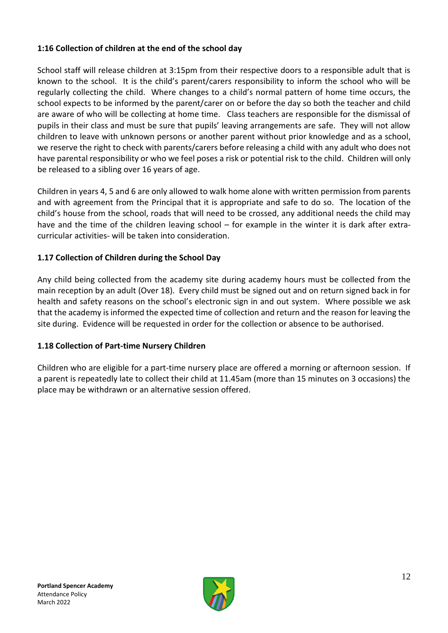#### **1:16 Collection of children at the end of the school day**

School staff will release children at 3:15pm from their respective doors to a responsible adult that is known to the school. It is the child's parent/carers responsibility to inform the school who will be regularly collecting the child. Where changes to a child's normal pattern of home time occurs, the school expects to be informed by the parent/carer on or before the day so both the teacher and child are aware of who will be collecting at home time. Class teachers are responsible for the dismissal of pupils in their class and must be sure that pupils' leaving arrangements are safe. They will not allow children to leave with unknown persons or another parent without prior knowledge and as a school, we reserve the right to check with parents/carers before releasing a child with any adult who does not have parental responsibility or who we feel poses a risk or potential risk to the child. Children will only be released to a sibling over 16 years of age.

Children in years 4, 5 and 6 are only allowed to walk home alone with written permission from parents and with agreement from the Principal that it is appropriate and safe to do so. The location of the child's house from the school, roads that will need to be crossed, any additional needs the child may have and the time of the children leaving school – for example in the winter it is dark after extracurricular activities- will be taken into consideration.

# **1.17 Collection of Children during the School Day**

Any child being collected from the academy site during academy hours must be collected from the main reception by an adult (Over 18). Every child must be signed out and on return signed back in for health and safety reasons on the school's electronic sign in and out system. Where possible we ask that the academy is informed the expected time of collection and return and the reason for leaving the site during. Evidence will be requested in order for the collection or absence to be authorised.

#### **1.18 Collection of Part-time Nursery Children**

Children who are eligible for a part-time nursery place are offered a morning or afternoon session. If a parent is repeatedly late to collect their child at 11.45am (more than 15 minutes on 3 occasions) the place may be withdrawn or an alternative session offered.

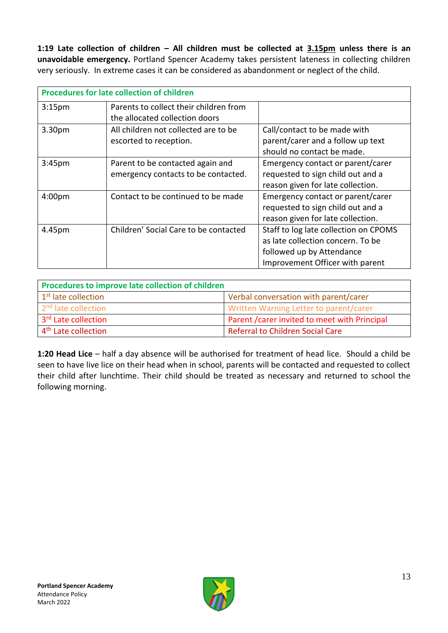**1:19 Late collection of children – All children must be collected at 3.15pm unless there is an unavoidable emergency.** Portland Spencer Academy takes persistent lateness in collecting children very seriously. In extreme cases it can be considered as abandonment or neglect of the child.

| <b>Procedures for late collection of children</b> |                                        |                                       |  |
|---------------------------------------------------|----------------------------------------|---------------------------------------|--|
| 3:15 <sub>pm</sub>                                | Parents to collect their children from |                                       |  |
|                                                   | the allocated collection doors         |                                       |  |
| 3.30pm                                            | All children not collected are to be   | Call/contact to be made with          |  |
|                                                   | escorted to reception.                 | parent/carer and a follow up text     |  |
|                                                   |                                        | should no contact be made.            |  |
| 3:45 <sub>pm</sub>                                | Parent to be contacted again and       | Emergency contact or parent/carer     |  |
|                                                   | emergency contacts to be contacted.    | requested to sign child out and a     |  |
|                                                   |                                        | reason given for late collection.     |  |
| 4:00 <sub>pm</sub>                                | Contact to be continued to be made     | Emergency contact or parent/carer     |  |
|                                                   |                                        | requested to sign child out and a     |  |
|                                                   |                                        | reason given for late collection.     |  |
| 4.45pm                                            | Children' Social Care to be contacted  | Staff to log late collection on CPOMS |  |
|                                                   |                                        | as late collection concern. To be     |  |
|                                                   |                                        | followed up by Attendance             |  |
|                                                   |                                        | Improvement Officer with parent       |  |

| Procedures to improve late collection of children |                                               |  |
|---------------------------------------------------|-----------------------------------------------|--|
| 1 <sup>st</sup> late collection                   | Verbal conversation with parent/carer         |  |
| 2 <sup>nd</sup> late collection                   | Written Warning Letter to parent/carer        |  |
| 3 <sup>rd</sup> Late collection                   | Parent / carer invited to meet with Principal |  |
| 4 <sup>th</sup> Late collection                   | <b>Referral to Children Social Care</b>       |  |

**1:20 Head Lice** – half a day absence will be authorised for treatment of head lice. Should a child be seen to have live lice on their head when in school, parents will be contacted and requested to collect their child after lunchtime. Their child should be treated as necessary and returned to school the following morning.